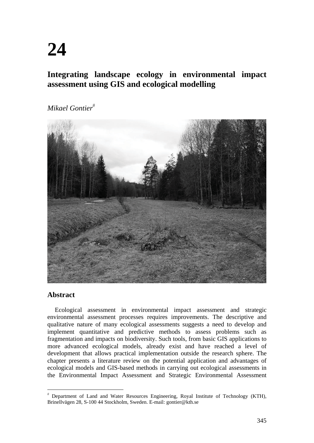# **24**

# **Integrating landscape ecology in environmental impact assessment using GIS and ecological modelling**

*Mikael Gontier*



# **Abstract**

Ecological assessment in environmental impact assessment and strategic environmental assessment processes requires improvements. The descriptive and qualitative nature of many ecological assessments suggests a need to develop and implement quantitative and predictive methods to assess problems such as fragmentation and impacts on biodiversity. Such tools, from basic GIS applications to more advanced ecological models, already exist and have reached a level of development that allows practical implementation outside the research sphere. The chapter presents a literature review on the potential application and advantages of ecological models and GIS-based methods in carrying out ecological assessments in the Environmental Impact Assessment and Strategic Environmental Assessment

 Department of Land and Water Resources Engineering, Royal Institute of Technology (KTH), Brinellvägen 28, S-100 44 Stockholm, Sweden. E-mail: gontier@kth.se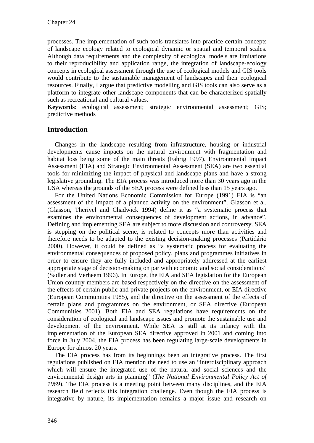processes. The implementation of such tools translates into practice certain concepts of landscape ecology related to ecological dynamic or spatial and temporal scales. Although data requirements and the complexity of ecological models are limitations to their reproducibility and application range, the integration of landscape-ecology concepts in ecological assessment through the use of ecological models and GIS tools would contribute to the sustainable management of landscapes and their ecological resources. Finally, I argue that predictive modelling and GIS tools can also serve as a platform to integrate other landscape components that can be characterized spatially such as recreational and cultural values.

**Keywords**: ecological assessment; strategic environmental assessment; GIS; predictive methods

# **Introduction**

Changes in the landscape resulting from infrastructure, housing or industrial developments cause impacts on the natural environment with fragmentation and habitat loss being some of the main threats (Fahrig 1997). Environmental Impact Assessment (EIA) and Strategic Environmental Assessment (SEA) are two essential tools for minimizing the impact of physical and landscape plans and have a strong legislative grounding. The EIA process was introduced more than 30 years ago in the USA whereas the grounds of the SEA process were defined less than 15 years ago.

For the United Nations Economic Commission for Europe (1991) EIA is "an assessment of the impact of a planned activity on the environment". Glasson et al. (Glasson, Therivel and Chadwick 1994) define it as "a systematic process that examines the environmental consequences of development actions, in advance". Defining and implementing SEA are subject to more discussion and controversy. SEA is stepping on the political scene, is related to concepts more than activities and therefore needs to be adapted to the existing decision-making processes (Partidário 2000). However, it could be defined as "a systematic process for evaluating the environmental consequences of proposed policy, plans and programmes initiatives in order to ensure they are fully included and appropriately addressed at the earliest appropriate stage of decision-making on par with economic and social considerations" (Sadler and Verheem 1996). In Europe, the EIA and SEA legislation for the European Union country members are based respectively on the directive on the assessment of the effects of certain public and private projects on the environment, or EIA directive (European Communities 1985), and the directive on the assessment of the effects of certain plans and programmes on the environment, or SEA directive (European Communities 2001). Both EIA and SEA regulations have requirements on the consideration of ecological and landscape issues and promote the sustainable use and development of the environment. While SEA is still at its infancy with the implementation of the European SEA directive approved in 2001 and coming into force in July 2004, the EIA process has been regulating large-scale developments in Europe for almost 20 years.

The EIA process has from its beginnings been an integrative process. The first regulations published on EIA mention the need to use an "interdisciplinary approach which will ensure the integrated use of the natural and social sciences and the environmental design arts in planning" (*The National Environmental Policy Act of 1969*). The EIA process is a meeting point between many disciplines, and the EIA research field reflects this integration challenge. Even though the EIA process is integrative by nature, its implementation remains a major issue and research on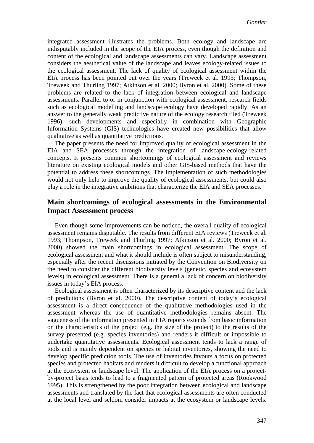integrated assessment illustrates the problems. Both ecology and landscape are indisputably included in the scope of the EIA process, even though the definition and content of the ecological and landscape assessments can vary. Landscape assessment considers the aesthetical value of the landscape and leaves ecology-related issues to the ecological assessment. The lack of quality of ecological assessment within the EIA process has been pointed out over the years (Treweek et al. 1993; Thompson, Treweek and Thurling 1997; Atkinson et al. 2000; Byron et al. 2000). Some of these problems are related to the lack of integration between ecological and landscape assessments. Parallel to or in conjunction with ecological assessment, research fields such as ecological modelling and landscape ecology have developed rapidly. As an answer to the generally weak predictive nature of the ecology research filed (Treweek 1996), such developments and especially in combination with Geographic Information Systems (GIS) technologies have created new possibilities that allow qualitative as well as quantitative predictions.

The paper presents the need for improved quality of ecological assessment in the EIA and SEA processes through the integration of landscape-ecology-related concepts. It presents common shortcomings of ecological assessment and reviews literature on existing ecological models and other GIS-based methods that have the potential to address these shortcomings. The implementation of such methodologies would not only help to improve the quality of ecological assessments, but could also play a role in the integrative ambitions that characterize the EIA and SEA processes.

#### **Main shortcomings of ecological assessments in the Environmental Impact Assessment process**

Even though some improvements can be noticed, the overall quality of ecological assessment remains disputable. The results from different EIA reviews (Treweek et al. 1993; Thompson, Treweek and Thurling 1997; Atkinson et al. 2000; Byron et al. 2000) showed the main shortcomings in ecological assessment. The scope of ecological assessment and what it should include is often subject to misunderstanding, especially after the recent discussions initiated by the Convention on Biodiversity on the need to consider the different biodiversity levels (genetic, species and ecosystem levels) in ecological assessment. There is a general a lack of concern on biodiversity issues in today's EIA process.

Ecological assessment is often characterized by its descriptive content and the lack of predictions (Byron et al. 2000). The descriptive content of today's ecological assessment is a direct consequence of the qualitative methodologies used in the assessment whereas the use of quantitative methodologies remains absent. The vagueness of the information presented in EIA reports extends from basic information on the characteristics of the project (e.g. the size of the project) to the results of the survey presented (e.g. species inventories) and renders it difficult or impossible to undertake quantitative assessments. Ecological assessment tends to lack a range of tools and is mainly dependent on species or habitat inventories, showing the need to develop specific prediction tools. The use of inventories favours a focus on protected species and protected habitats and renders it difficult to develop a functional approach at the ecosystem or landscape level. The application of the EIA process on a projectby-project basis tends to lead to a fragmented pattern of protected areas (Rookwood 1995). This is strengthened by the poor integration between ecological and landscape assessments and translated by the fact that ecological assessments are often conducted at the local level and seldom consider impacts at the ecosystem or landscape levels.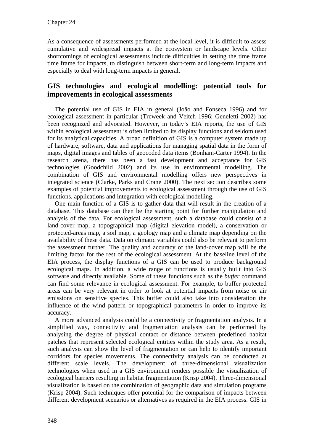As a consequence of assessments performed at the local level, it is difficult to assess cumulative and widespread impacts at the ecosystem or landscape levels. Other shortcomings of ecological assessments include difficulties in setting the time frame time frame for impacts, to distinguish between short-term and long-term impacts and especially to deal with long-term impacts in general.

### **GIS technologies and ecological modelling: potential tools for improvements in ecological assessments**

The potential use of GIS in EIA in general (João and Fonseca 1996) and for ecological assessment in particular (Treweek and Veitch 1996; Geneletti 2002) has been recognized and advocated. However, in today's EIA reports, the use of GIS within ecological assessment is often limited to its display functions and seldom used for its analytical capacities. A broad definition of GIS is a computer system made up of hardware, software, data and applications for managing spatial data in the form of maps, digital images and tables of geocoded data items (Bonham-Carter 1994). In the research arena, there has been a fast development and acceptance for GIS technologies (Goodchild 2002) and its use in environmental modelling. The combination of GIS and environmental modelling offers new perspectives in integrated science (Clarke, Parks and Crane 2000). The next section describes some examples of potential improvements to ecological assessment through the use of GIS functions, applications and integration with ecological modelling.

One main function of a GIS is to gather data that will result in the creation of a database. This database can then be the starting point for further manipulation and analysis of the data. For ecological assessment, such a database could consist of a land-cover map, a topographical map (digital elevation model), a conservation or protected-areas map, a soil map, a geology map and a climate map depending on the availability of these data. Data on climatic variables could also be relevant to perform the assessment further. The quality and accuracy of the land-cover map will be the limiting factor for the rest of the ecological assessment. At the baseline level of the EIA process, the display functions of a GIS can be used to produce background ecological maps. In addition, a wide range of functions is usually built into GIS software and directly available. Some of these functions such as the *buffer* command can find some relevance in ecological assessment. For example, to buffer protected areas can be very relevant in order to look at potential impacts from noise or air emissions on sensitive species. This buffer could also take into consideration the influence of the wind pattern or topographical parameters in order to improve its accuracy.

A more advanced analysis could be a connectivity or fragmentation analysis. In a simplified way, connectivity and fragmentation analysis can be performed by analysing the degree of physical contact or distance between predefined habitat patches that represent selected ecological entities within the study area. As a result, such analysis can show the level of fragmentation or can help to identify important corridors for species movements. The connectivity analysis can be conducted at different scale levels. The development of three-dimensional visualization technologies when used in a GIS environment renders possible the visualization of ecological barriers resulting in habitat fragmentation (Krisp 2004). Three-dimensional visualization is based on the combination of geographic data and simulation programs (Krisp 2004). Such techniques offer potential for the comparison of impacts between different development scenarios or alternatives as required in the EIA process. GIS in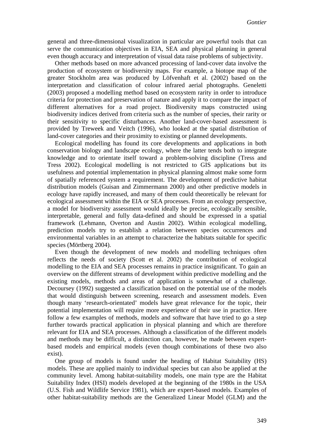general and three-dimensional visualization in particular are powerful tools that can serve the communication objectives in EIA, SEA and physical planning in general even though accuracy and interpretation of visual data raise problems of subjectivity.

Other methods based on more advanced processing of land-cover data involve the production of ecosystem or biodiversity maps. For example, a biotope map of the greater Stockholm area was produced by Löfvenhaft et al. (2002) based on the interpretation and classification of colour infrared aerial photographs. Geneletti (2003) proposed a modelling method based on ecosystem rarity in order to introduce criteria for protection and preservation of nature and apply it to compare the impact of different alternatives for a road project. Biodiversity maps constructed using biodiversity indices derived from criteria such as the number of species, their rarity or their sensitivity to specific disturbances. Another land-cover-based assessment is provided by Treweek and Veitch (1996), who looked at the spatial distribution of land-cover categories and their proximity to existing or planned developments.

Ecological modelling has found its core developments and applications in both conservation biology and landscape ecology, where the latter tends both to integrate knowledge and to orientate itself toward a problem-solving discipline (Tress and Tress 2002). Ecological modelling is not restricted to GIS applications but its usefulness and potential implementation in physical planning almost make some form of spatially referenced system a requirement. The development of predictive habitat distribution models (Guisan and Zimmermann 2000) and other predictive models in ecology have rapidly increased, and many of them could theoretically be relevant for ecological assessment within the EIA or SEA processes. From an ecology perspective, a model for biodiversity assessment would ideally be precise, ecologically sensible, interpretable, general and fully data-defined and should be expressed in a spatial framework (Lehmann, Overton and Austin 2002). Within ecological modelling, prediction models try to establish a relation between species occurrences and environmental variables in an attempt to characterize the habitats suitable for specific species (Mörtberg 2004).

Even though the development of new models and modelling techniques often reflects the needs of society (Scott et al. 2002) the contribution of ecological modelling to the EIA and SEA processes remains in practice insignificant. To gain an overview on the different streams of development within predictive modelling and the existing models, methods and areas of application is somewhat of a challenge. Decoursey (1992) suggested a classification based on the potential use of the models that would distinguish between screening, research and assessment models. Even though many 'research-orientated' models have great relevance for the topic, their potential implementation will require more experience of their use in practice. Here follow a few examples of methods, models and software that have tried to go a step further towards practical application in physical planning and which are therefore relevant for EIA and SEA processes. Although a classification of the different models and methods may be difficult, a distinction can, however, be made between expertbased models and empirical models (even though combinations of these two also exist).

One group of models is found under the heading of Habitat Suitability (HS) models. These are applied mainly to individual species but can also be applied at the community level. Among habitat-suitability models, one main type are the Habitat Suitability Index (HSI) models developed at the beginning of the 1980s in the USA (U.S. Fish and Wildlife Service 1981), which are expert-based models. Examples of other habitat-suitability methods are the Generalized Linear Model (GLM) and the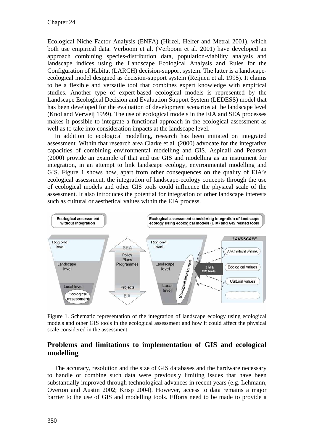Ecological Niche Factor Analysis (ENFA) (Hirzel, Helfer and Metral 2001), which both use empirical data. Verboom et al. (Verboom et al. 2001) have developed an approach combining species-distribution data, population-viability analysis and landscape indices using the Landscape Ecological Analysis and Rules for the Configuration of Habitat (LARCH) decision-support system. The latter is a landscapeecological model designed as decision-support system (Reijnen et al. 1995). It claims to be a flexible and versatile tool that combines expert knowledge with empirical studies. Another type of expert-based ecological models is represented by the Landscape Ecological Decision and Evaluation Support System (LEDESS) model that has been developed for the evaluation of development scenarios at the landscape level (Knol and Verweij 1999). The use of ecological models in the EIA and SEA processes makes it possible to integrate a functional approach in the ecological assessment as well as to take into consideration impacts at the landscape level.

In addition to ecological modelling, research has been initiated on integrated assessment. Within that research area Clarke et al. (2000) advocate for the integrative capacities of combining environmental modelling and GIS. Aspinall and Pearson (2000) provide an example of that and use GIS and modelling as an instrument for integration, in an attempt to link landscape ecology, environmental modelling and GIS. Figure 1 shows how, apart from other consequences on the quality of EIA's ecological assessment, the integration of landscape-ecology concepts through the use of ecological models and other GIS tools could influence the physical scale of the assessment. It also introduces the potential for integration of other landscape interests such as cultural or aesthetical values within the EIA process.



Figure 1. Schematic representation of the integration of landscape ecology using ecological models and other GIS tools in the ecological assessment and how it could affect the physical scale considered in the assessment

# **Problems and limitations to implementation of GIS and ecological modelling**

The accuracy, resolution and the size of GIS databases and the hardware necessary to handle or combine such data were previously limiting issues that have been substantially improved through technological advances in recent years (e.g. Lehmann, Overton and Austin 2002; Krisp 2004). However, access to data remains a major barrier to the use of GIS and modelling tools. Efforts need to be made to provide a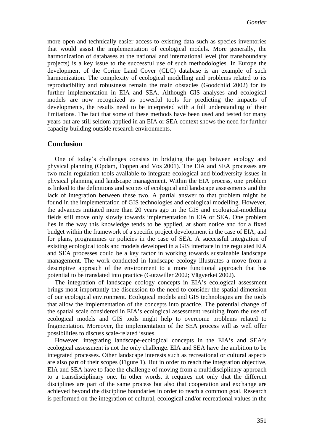more open and technically easier access to existing data such as species inventories that would assist the implementation of ecological models. More generally, the harmonization of databases at the national and international level (for transboundary projects) is a key issue to the successful use of such methodologies. In Europe the development of the Corine Land Cover (CLC) database is an example of such harmonization. The complexity of ecological modelling and problems related to its reproducibility and robustness remain the main obstacles (Goodchild 2002) for its further implementation in EIA and SEA. Although GIS analyses and ecological models are now recognized as powerful tools for predicting the impacts of developments, the results need to be interpreted with a full understanding of their limitations. The fact that some of these methods have been used and tested for many years but are still seldom applied in an EIA or SEA context shows the need for further capacity building outside research environments.

#### **Conclusion**

One of today's challenges consists in bridging the gap between ecology and physical planning (Opdam, Foppen and Vos 2001). The EIA and SEA processes are two main regulation tools available to integrate ecological and biodiversity issues in physical planning and landscape management. Within the EIA process, one problem is linked to the definitions and scopes of ecological and landscape assessments and the lack of integration between these two. A partial answer to that problem might be found in the implementation of GIS technologies and ecological modelling. However, the advances initiated more than 20 years ago in the GIS and ecological-modelling fields still move only slowly towards implementation in EIA or SEA. One problem lies in the way this knowledge tends to be applied, at short notice and for a fixed budget within the framework of a specific project development in the case of EIA, and for plans, programmes or policies in the case of SEA. A successful integration of existing ecological tools and models developed in a GIS interface in the regulated EIA and SEA processes could be a key factor in working towards sustainable landscape management. The work conducted in landscape ecology illustrates a move from a descriptive approach of the environment to a more functional approach that has potential to be translated into practice (Gutzwiller 2002; Vägverket 2002).

The integration of landscape ecology concepts in EIA's ecological assessment brings most importantly the discussion to the need to consider the spatial dimension of our ecological environment. Ecological models and GIS technologies are the tools that allow the implementation of the concepts into practice. The potential change of the spatial scale considered in EIA's ecological assessment resulting from the use of ecological models and GIS tools might help to overcome problems related to fragmentation. Moreover, the implementation of the SEA process will as well offer possibilities to discuss scale-related issues.

However, integrating landscape-ecological concepts in the EIA's and SEA's ecological assessment is not the only challenge. EIA and SEA have the ambition to be integrated processes. Other landscape interests such as recreational or cultural aspects are also part of their scopes (Figure 1). But in order to reach the integration objective, EIA and SEA have to face the challenge of moving from a multidisciplinary approach to a transdisciplinary one. In other words, it requires not only that the different disciplines are part of the same process but also that cooperation and exchange are achieved beyond the discipline boundaries in order to reach a common goal. Research is performed on the integration of cultural, ecological and/or recreational values in the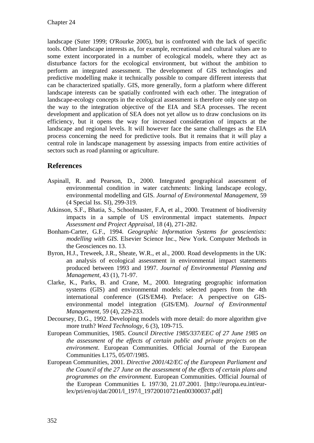landscape (Suter 1999; O'Rourke 2005), but is confronted with the lack of specific tools. Other landscape interests as, for example, recreational and cultural values are to some extent incorporated in a number of ecological models, where they act as disturbance factors for the ecological environment, but without the ambition to perform an integrated assessment. The development of GIS technologies and predictive modelling make it technically possible to compare different interests that can be characterized spatially. GIS, more generally, form a platform where different landscape interests can be spatially confronted with each other. The integration of landscape-ecology concepts in the ecological assessment is therefore only one step on the way to the integration objective of the EIA and SEA processes. The recent development and application of SEA does not yet allow us to draw conclusions on its efficiency, but it opens the way for increased consideration of impacts at the landscape and regional levels. It will however face the same challenges as the EIA process concerning the need for predictive tools. But it remains that it will play a central role in landscape management by assessing impacts from entire activities of sectors such as road planning or agriculture.

# **References**

- Aspinall, R. and Pearson, D., 2000. Integrated geographical assessment of environmental condition in water catchments: linking landscape ecology, environmental modelling and GIS. *Journal of Environmental Management,* 59 (4 Special Iss. SI), 299-319.
- Atkinson, S.F., Bhatia, S., Schoolmaster, F.A, et al., 2000. Treatment of biodiversity impacts in a sample of US environmental impact statements. *Impact Assessment and Project Appraisal,* 18 (4), 271-282.
- Bonham-Carter, G.F., 1994. *Geographic Information Systems for geoscientists: modelling with GIS*. Elsevier Science Inc., New York. Computer Methods in the Geosciences no. 13.
- Byron, H.J., Treweek, J.R., Sheate, W.R., et al., 2000. Road developments in the UK: an analysis of ecological assessment in environmental impact statements produced between 1993 and 1997. *Journal of Environmental Planning and Management,* 43 (1), 71-97.
- Clarke, K., Parks, B. and Crane, M., 2000. Integrating geographic information systems (GIS) and environmental models: selected papers from the 4th international conference (GIS/EM4). Preface: A perspective on GISenvironmental model integration (GIS/EM). *Journal of Environmental Management,* 59 (4), 229-233.
- Decoursey, D.G., 1992. Developing models with more detail: do more algorithm give more truth? *Weed Technology,* 6 (3), 109-715.
- European Communities, 1985. *Council Directive 1985/337/EEC of 27 June 1985 on the assessment of the effects of certain public and private projects on the environment*. European Communities. Official Journal of the European Communities L175, 05/07/1985.
- European Communities, 2001. *Directive 2001/42/EC of the European Parliament and the Council of the 27 June on the assessment of the effects of certain plans and programmes on the environment.* European Communities. Official Journal of the European Communities L 197/30, 21.07.2001. [http://europa.eu.int/eurlex/pri/en/oj/dat/2001/l\_197/l\_19720010721en00300037.pdf]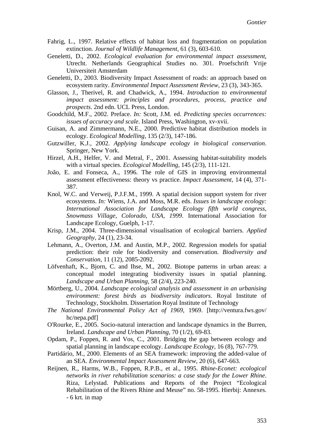- Fahrig, L., 1997. Relative effects of habitat loss and fragmentation on population extinction. *Journal of Wildlife Management,* 61 (3), 603-610.
- Geneletti, D., 2002. *Ecological evaluation for environmental impact assessment*, Utrecht. Netherlands Geographical Studies no. 301. Proefschrift Vrije Universiteit Amsterdam
- Geneletti, D., 2003. Biodiversity Impact Assessment of roads: an approach based on ecosystem rarity. *Environmental Impact Assessment Review,* 23 (3), 343-365.
- Glasson, J., Therivel, R. and Chadwick, A., 1994. *Introduction to environmental impact assessment: principles and procedures, process, practice and prospects*. 2nd edn. UCL Press, London.
- Goodchild, M.F., 2002. Preface. *In:* Scott, J.M. ed. *Predicting species occurrences: issues of accuracy and scale*. Island Press, Washington, xv-xvii.
- Guisan, A. and Zimmermann, N.E., 2000. Predictive habitat distribution models in ecology. *Ecological Modelling,* 135 (2/3), 147-186.
- Gutzwiller, K.J., 2002. *Applying landscape ecology in biological conservation*. Springer, New York.
- Hirzel, A.H., Helfer, V. and Metral, F., 2001. Assessing habitat-suitability models with a virtual species. *Ecological Modelling,* 145 (2/3), 111-121.
- João, E. and Fonseca, A., 1996. The role of GIS in improving environmental assessment effectiveness: theory vs practice. *Impact Assessment,* 14 (4), 371- 387.
- Knol, W.C. and Verweij, P.J.F.M., 1999. A spatial decision support system for river ecosystems. *In:* Wiens, J.A. and Moss, M.R. eds. *Issues in landscape ecology: International Association for Landscape Ecology fifth world congress, Snowmass Village, Colorado, USA, 1999*. International Association for Landscape Ecology, Guelph, 1-17.
- Krisp, J.M., 2004. Three-dimensional visualisation of ecological barriers. *Applied Geography,* 24 (1), 23-34.
- Lehmann, A., Overton, J.M. and Austin, M.P., 2002. Regression models for spatial prediction: their role for biodiversity and conservation. *Biodiversity and Conservation,* 11 (12), 2085-2092.
- Löfvenhaft, K., Bjorn, C. and Ihse, M., 2002. Biotope patterns in urban areas: a conceptual model integrating biodiversity issues in spatial planning. *Landscape and Urban Planning,* 58 (2/4), 223-240.
- Mörtberg, U., 2004. *Landscape ecological analysis and assessment in an urbanising environment: forest birds as biodiversity indicators*. Royal Institute of Technology, Stockholm. Dissertation Royal Institute of Technology
- *The National Environmental Policy Act of 1969*, 1969. [http://ventura.fws.gov/ hc/nepa.pdf]
- O'Rourke, E., 2005. Socio-natural interaction and landscape dynamics in the Burren, Ireland. *Landscape and Urban Planning,* 70 (1/2), 69-83.
- Opdam, P., Foppen, R. and Vos, C., 2001. Bridging the gap between ecology and spatial planning in landscape ecology. *Landscape Ecology,* 16 (8), 767-779.
- Partidário, M., 2000. Elements of an SEA framework: improving the added-value of an SEA. *Environmental Impact Assessment Review,* 20 (6), 647-663.
- Reijnen, R., Harms, W.B., Foppen, R.P.B., et al., 1995. *Rhine-Econet: ecological networks in river rehabilitation scenarios: a case study for the Lower Rhine*. Riza, Lelystad. Publications and Reports of the Project "Ecological Rehabilitation of the Rivers Rhine and Meuse" no. 58-1995. Hierbij: Annexes. - 6 krt. in map